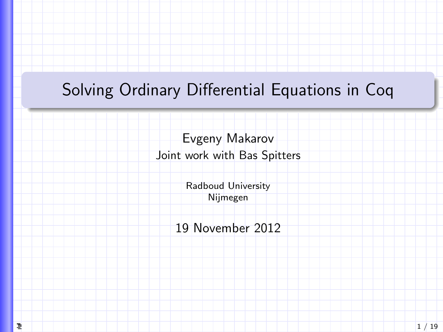# <span id="page-0-0"></span>Solving Ordinary Differential Equations in Coq

Evgeny Makarov Joint work with Bas Spitters

> Radboud University Nijmegen

19 November 2012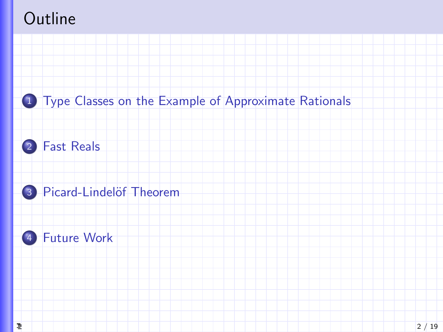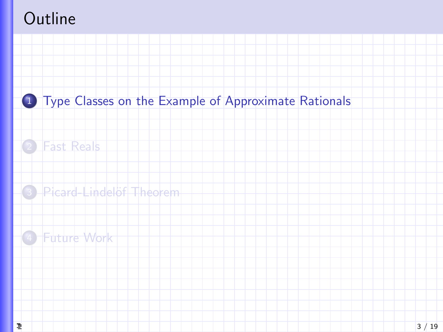<span id="page-2-0"></span>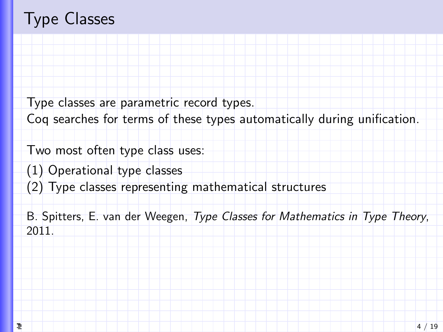## Type Classes

Type classes are parametric record types.

Coq searches for terms of these types automatically during unification.

Two most often type class uses:

(1) Operational type classes

(2) Type classes representing mathematical structures

B. Spitters, E. van der Weegen, Type Classes for Mathematics in Type Theory, 2011.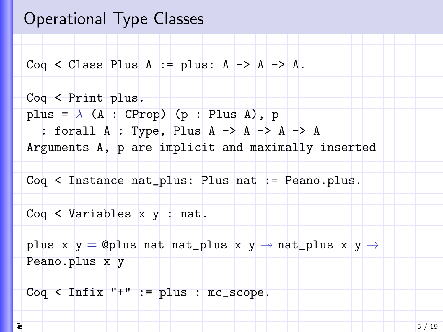### Operational Type Classes

Coq < Class Plus A := plus:  $A \rightarrow A \rightarrow A$ .

Coq < Print plus. plus =  $\lambda$  (A : CProp) (p : Plus A), p : forall A : Type, Plus A -> A -> A -> A Arguments A, p are implicit and maximally inserted Coq < Instance nat\_plus: Plus nat := Peano.plus. Coq < Variables  $x, y$  : nat. plus x y = @plus nat nat\_plus x y  $\rightarrow$  nat\_plus x y  $\rightarrow$ Peano.plus x y

 $Coq < Infix$  "+" := plus : mc\_scope.

걸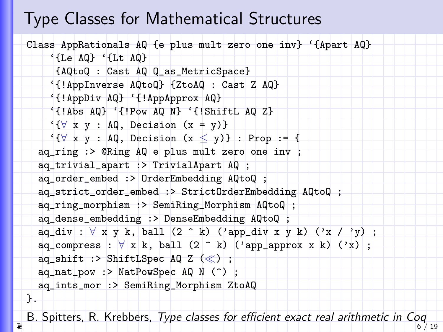#### Type Classes for Mathematical Structures

```
Class AppRationals AQ {e plus mult zero one inv} '{Apart AQ}
    '{Le AQ} '{Lt AQ}
     {AQtoQ : Cast AQ Q_as_MetricSpace}
    '{!AppInverse AQtoQ} {ZtoAQ : Cast Z AQ}
    '{!AppDiv AQ} '{!AppApprox AQ}
    '{!Abs AQ} '{!Pow AQ N} '{!ShiftL AQ Z}
    \{\forall x \ y : AQ, Decision (x = y)\}\'{\forall x y : AQ, Decision (x \le y)} : Prop := {
  aq_ring :> @Ring AQ e plus mult zero one inv ;
  aq_trivial_apart :> TrivialApart AQ ;
  aq_order_embed :> OrderEmbedding AQtoQ ;
  aq_strict_order_embed :> StrictOrderEmbedding AQtoQ ;
  aq_ring_morphism :> SemiRing_Morphism AQtoQ ;
  aq_dense_embedding :> DenseEmbedding AQtoQ ;
  aq\_div : \forall x y k, ball (2 \uparrow k) ('app_div x y k) ('x / 'y) ;
  aq\_compress : \forall x k, ball (2 \land k) ('app_approx x k) ('x) ;
  aq_shift :> ShiftLSpec AQ Z (\ll) ;
  aq_nat_pow :> NatPowSpec AQ N (^) ;
  aq_ints_mor :> SemiRing_Morphism ZtoAQ
}.
```
[B](#page-0-0). Spitters, R. Krebbers, Type classes for efficient exact real arithmetic in Coq  $6'$  / 19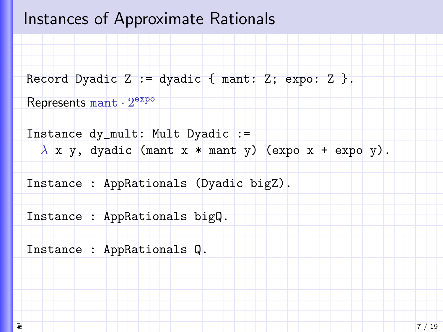#### Instances of Approximate Rationals

```
Record Dyadic Z := dyadic \{ mant: Z; expo: Z \}.
```

```
Represents \texttt{mant} \cdot 2^{\texttt{expo}}
```

```
Instance dy_mult: Mult Dyadic :=
  \lambda x y, dyadic (mant x * mant y) (expo x + expo y).
```

```
Instance : AppRationals (Dyadic bigZ).
```

```
Instance : AppRationals bigQ.
```

```
Instance : AppRationals Q.
```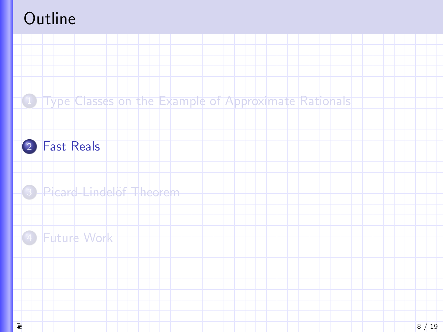<span id="page-7-0"></span>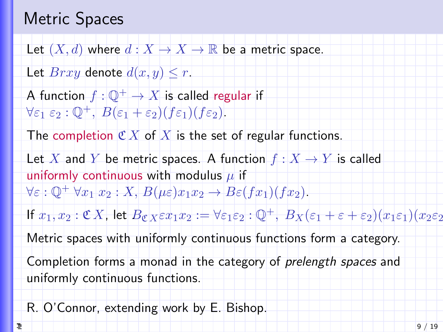## Metric Spaces

Let  $(X, d)$  where  $d: X \to X \to \mathbb{R}$  be a metric space.

Let  $Brxy$  denote  $d(x, y) \leq r$ .

A function  $f: \mathbb{Q}^+ \to X$  is called regular if  $\forall \varepsilon_1 \varepsilon_2 : \mathbb{O}^+, B(\varepsilon_1 + \varepsilon_2)(f \varepsilon_1)(f \varepsilon_2).$ 

The completion  $\mathfrak{C} X$  of X is the set of regular functions.

Let X and Y be metric spaces. A function  $f: X \to Y$  is called uniformly continuous with modulus  $\mu$  if  $\forall \varepsilon : \mathbb{Q}^+ \forall x_1 x_2 : X, B(\mu \varepsilon) x_1 x_2 \rightarrow B \varepsilon(fx_1)(fx_2).$ 

If  $x_1, x_2 : \mathfrak{C} X$ , let  $B_{\mathfrak{C} X} \varepsilon x_1 x_2 : = \forall \varepsilon_1 \varepsilon_2 : \mathbb{Q}^+$ ,  $B_X(\varepsilon_1 + \varepsilon + \varepsilon_2)(x_1 \varepsilon_1)(x_2 \varepsilon_2)$ 

Metric spaces with uniformly continuous functions form a category.

Completion forms a monad in the category of prelength spaces and uniformly continuous functions.

R. O'Connor, extending work by E. Bishop.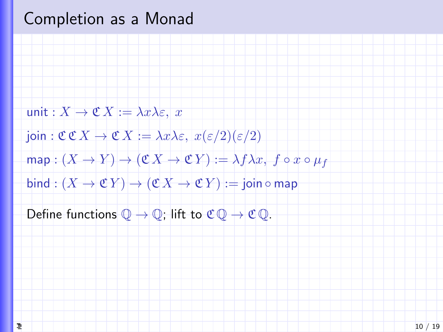### Completion as a Monad

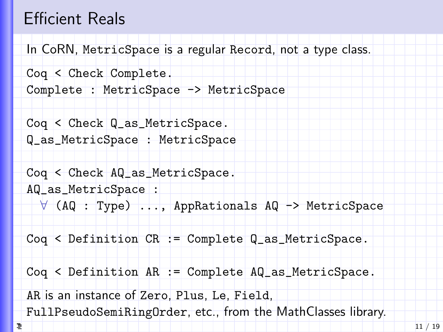### Efficient Reals

In CoRN, MetricSpace is a regular Record, not a type class.

```
Coq < Check Complete.
Complete : MetricSpace -> MetricSpace
```
Coq < Check Q\_as\_MetricSpace. Q\_as\_MetricSpace : MetricSpace

Coq < Check AQ\_as\_MetricSpace. AQ\_as\_MetricSpace : ∀ (AQ : Type) ..., AppRationals AQ -> MetricSpace

Coq < Definition CR := Complete Q\_as\_MetricSpace.

Coq < Definition AR := Complete AQ\_as\_MetricSpace.

AR is an instance of Zero, Plus, Le, Field,

[F](#page-0-0)ullPseudoSemiRingOrder, etc., from the MathClasses library.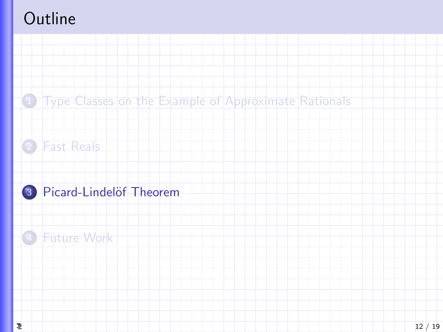<span id="page-11-0"></span>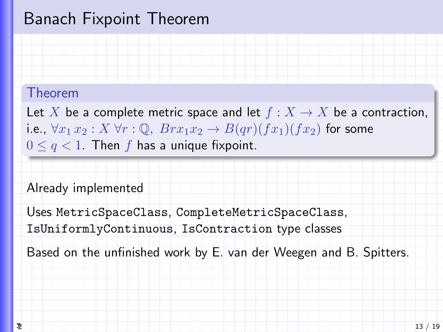### Banach Fixpoint Theorem

#### Theorem

Let X be a complete metric space and let  $f : X \to X$  be a contraction, i.e.,  $\forall x_1 x_2 : X \forall r : \mathbb{Q}, \; Brx_1x_2 \rightarrow B(qr)(fx_1)(fx_2)$  for some  $0 \leq q < 1$ . Then f has a unique fixpoint.

#### Already implemented

Uses MetricSpaceClass, CompleteMetricSpaceClass,

IsUniformlyContinuous, IsContraction type classes

Based on the unfinished work by E. van der Weegen and B. Spitters.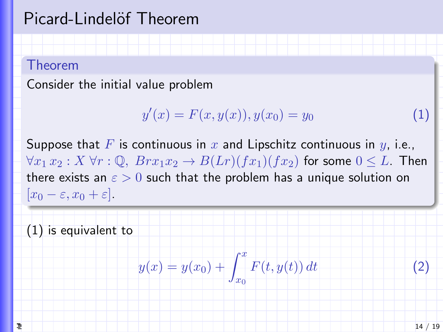### Picard-Lindelöf Theorem

#### Theorem

Consider the initial value problem

$$
y'(x) = F(x, y(x)), y(x_0) = y_0 \tag{1}
$$

Suppose that F is continuous in x and Lipschitz continuous in  $y$ , i.e.,  $\forall x_1 x_2 : X \forall r : \mathbb{Q}, \; Brx_1x_2 \rightarrow B(Lr)(fx_1)(fx_2)$  for some  $0 \leq L$ . Then there exists an  $\varepsilon > 0$  such that the problem has a unique solution on  $[x_0 - \varepsilon, x_0 + \varepsilon]$ .

(1) is equivalent to

$$
y(x) = y(x_0) + \int_{x_0}^{x} F(t, y(t)) dt
$$
 (2)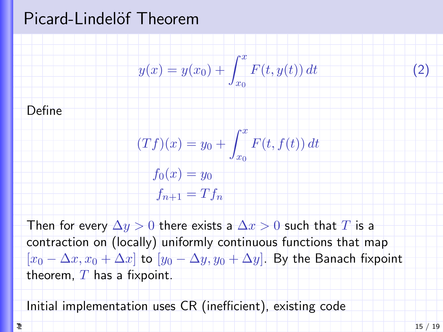#### Picard-Lindelöf Theorem



Then for every  $\Delta y > 0$  there exists a  $\Delta x > 0$  such that  $T$  is a contraction on (locally) uniformly continuous functions that map  $[x_0 - \Delta x, x_0 + \Delta x]$  to  $[y_0 - \Delta y, y_0 + \Delta y]$ . By the Banach fixpoint theorem,  $T$  has a fixpoint.

Initial implementation uses CR (inefficient), existing code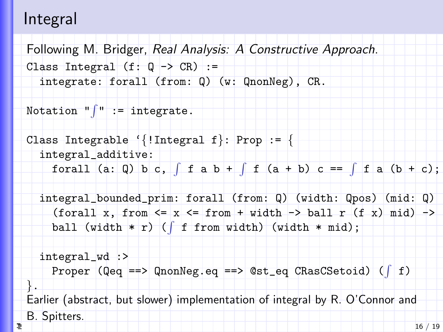#### Integral

Following M. Bridger, Real Analysis: A Constructive Approach. Class Integral  $(f: Q \rightarrow CR)$  := integrate: forall (from: Q) (w: QnonNeg), CR.

Notation " $\int$ " := integrate.

```
Class Integrable '{!Integral f}: Prop := {
  integral_additive:
    forall (a: Q) b c, \int f a b + \int f (a + b) c == \int f a (b + c);
```
 $integral_bounded\_prim: for all (from: Q) (width: Qpos) (mid: Q)$ (forall x, from  $\leq x \leq$  from + width -> ball r (f x) mid) -> ball (width  $*$  r) ( $\int f$  from width) (width  $*$  mid);

```
integral_wd :>
    Proper (Qeq ==) QnonNeg.eq ==> Qst_eq CRasCSetoid) (f f)}.
Earlier (abstract, but slower) implementation of integral by R. O'Connor and
B. Spitters.
                                                                      16 / 19
```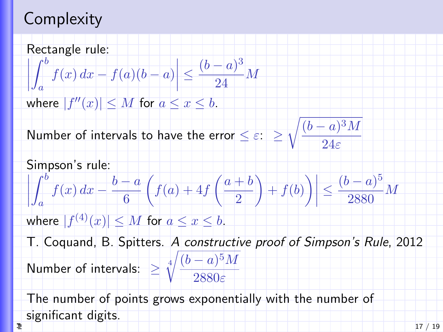## **Complexity**

Rectangle rule:  $\int_0^b$  $\leq \frac{(b-a)^3}{24}$  $\frac{1}{1}$  $f(x) dx - f(a)(b - a)$  $\frac{1}{24}$  M a where  $|f''(x)| \leq M$  for  $a \leq x \leq b$ .  $\sqrt{(b-a)^3M}$ Number of intervals to have the error  $\leq \varepsilon$ :  $\geq$  $24\varepsilon$ Simpson's rule:  $\int_0^b$  $\leq \frac{(b-a)^5}{2000}$  $\overline{\mathcal{I}}$  $f(x) dx - \frac{b-a}{c}$  $\int f(a) + 4f\left(\frac{a+b}{a}\right)$  $\bigg) + f(b)\bigg)\bigg|$  $\frac{1}{2880}M$ 6 2 a where  $|f^{(4)}(x)|\leq M$  for  $a\leq x\leq b.$ T. Coquand, B. Spitters. A constructive proof of Simpson's Rule, 2012 Number of intervals:  $\geq \sqrt[4]{\frac{(b-a)^5 M}{20000}}$ 2880ε The number of points grows exponentially with the number of [s](#page-0-0)ignificant digits. э 17 / 19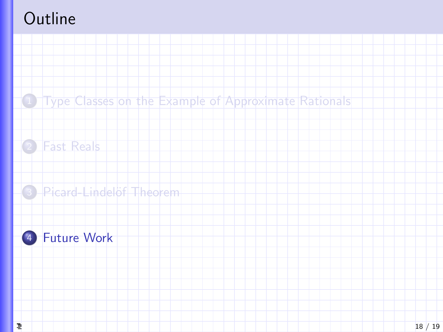<span id="page-17-0"></span>